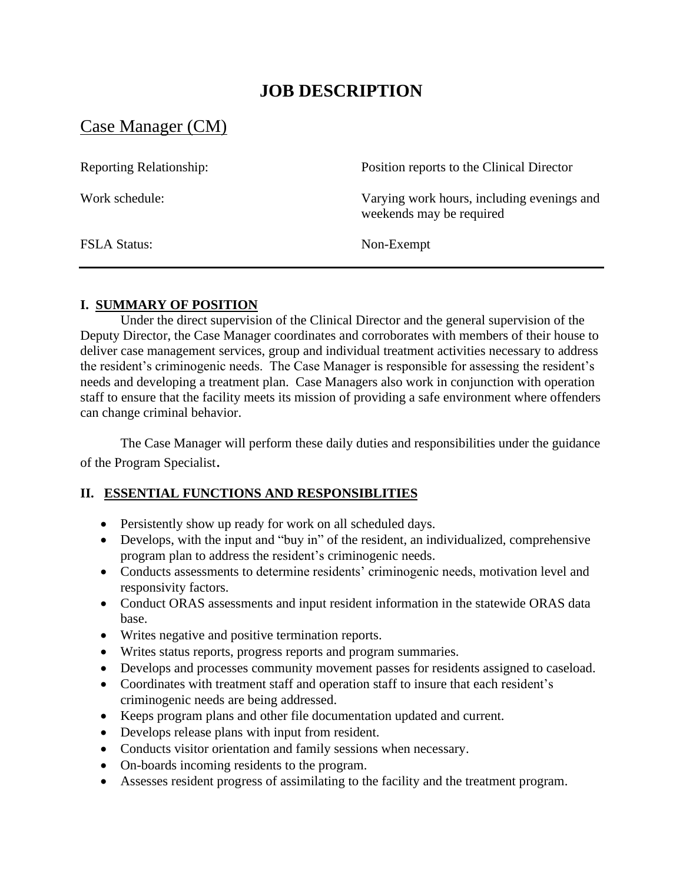# **JOB DESCRIPTION**

## Case Manager (CM)

| <b>Reporting Relationship:</b> | Position reports to the Clinical Director                              |
|--------------------------------|------------------------------------------------------------------------|
| Work schedule:                 | Varying work hours, including evenings and<br>weekends may be required |
| <b>FSLA Status:</b>            | Non-Exempt                                                             |

#### **I. SUMMARY OF POSITION**

Under the direct supervision of the Clinical Director and the general supervision of the Deputy Director, the Case Manager coordinates and corroborates with members of their house to deliver case management services, group and individual treatment activities necessary to address the resident's criminogenic needs. The Case Manager is responsible for assessing the resident's needs and developing a treatment plan. Case Managers also work in conjunction with operation staff to ensure that the facility meets its mission of providing a safe environment where offenders can change criminal behavior.

The Case Manager will perform these daily duties and responsibilities under the guidance of the Program Specialist.

## **II. ESSENTIAL FUNCTIONS AND RESPONSIBLITIES**

- Persistently show up ready for work on all scheduled days.
- Develops, with the input and "buy in" of the resident, an individualized, comprehensive program plan to address the resident's criminogenic needs.
- Conducts assessments to determine residents' criminogenic needs, motivation level and responsivity factors.
- Conduct ORAS assessments and input resident information in the statewide ORAS data base.
- Writes negative and positive termination reports.
- Writes status reports, progress reports and program summaries.
- Develops and processes community movement passes for residents assigned to caseload.
- Coordinates with treatment staff and operation staff to insure that each resident's criminogenic needs are being addressed.
- Keeps program plans and other file documentation updated and current.
- Develops release plans with input from resident.
- Conducts visitor orientation and family sessions when necessary.
- On-boards incoming residents to the program.
- Assesses resident progress of assimilating to the facility and the treatment program.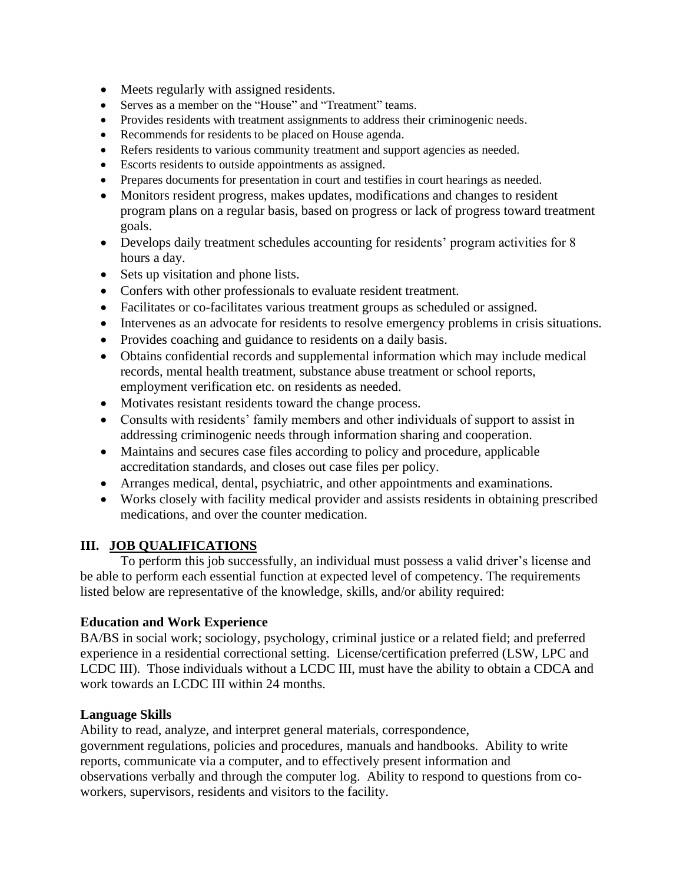- Meets regularly with assigned residents.
- Serves as a member on the "House" and "Treatment" teams.
- Provides residents with treatment assignments to address their criminogenic needs.
- Recommends for residents to be placed on House agenda.
- Refers residents to various community treatment and support agencies as needed.
- Escorts residents to outside appointments as assigned.
- Prepares documents for presentation in court and testifies in court hearings as needed.
- Monitors resident progress, makes updates, modifications and changes to resident program plans on a regular basis, based on progress or lack of progress toward treatment goals.
- Develops daily treatment schedules accounting for residents' program activities for 8 hours a day.
- Sets up visitation and phone lists.
- Confers with other professionals to evaluate resident treatment.
- Facilitates or co-facilitates various treatment groups as scheduled or assigned.
- Intervenes as an advocate for residents to resolve emergency problems in crisis situations.
- Provides coaching and guidance to residents on a daily basis.
- Obtains confidential records and supplemental information which may include medical records, mental health treatment, substance abuse treatment or school reports, employment verification etc. on residents as needed.
- Motivates resistant residents toward the change process.
- Consults with residents' family members and other individuals of support to assist in addressing criminogenic needs through information sharing and cooperation.
- Maintains and secures case files according to policy and procedure, applicable accreditation standards, and closes out case files per policy.
- Arranges medical, dental, psychiatric, and other appointments and examinations.
- Works closely with facility medical provider and assists residents in obtaining prescribed medications, and over the counter medication.

## **III. JOB QUALIFICATIONS**

To perform this job successfully, an individual must possess a valid driver's license and be able to perform each essential function at expected level of competency. The requirements listed below are representative of the knowledge, skills, and/or ability required:

## **Education and Work Experience**

BA/BS in social work; sociology, psychology, criminal justice or a related field; and preferred experience in a residential correctional setting. License/certification preferred (LSW, LPC and LCDC III). Those individuals without a LCDC III, must have the ability to obtain a CDCA and work towards an LCDC III within 24 months.

## **Language Skills**

Ability to read, analyze, and interpret general materials, correspondence, government regulations, policies and procedures, manuals and handbooks. Ability to write reports, communicate via a computer, and to effectively present information and observations verbally and through the computer log. Ability to respond to questions from coworkers, supervisors, residents and visitors to the facility.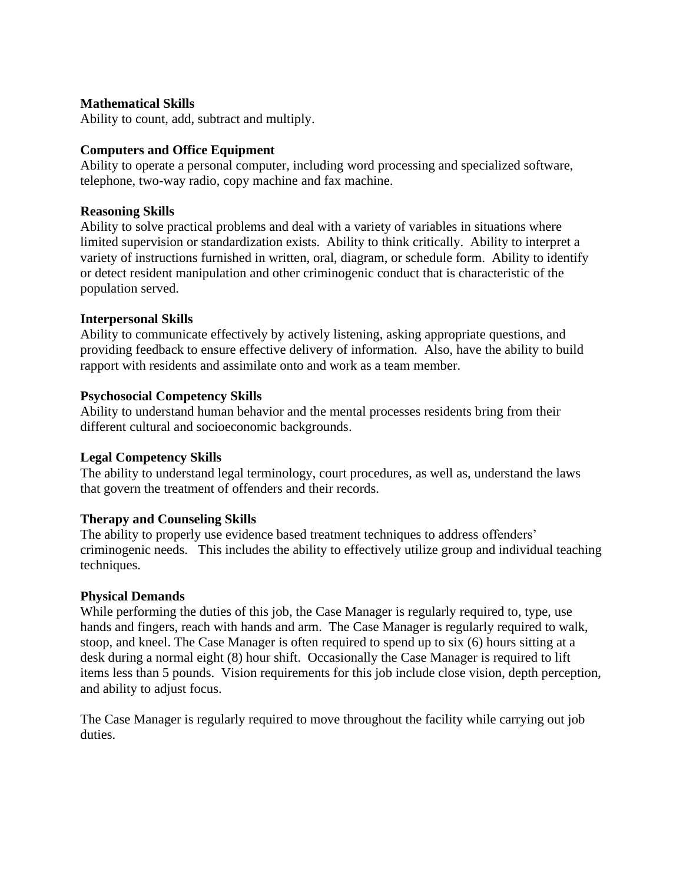#### **Mathematical Skills**

Ability to count, add, subtract and multiply.

#### **Computers and Office Equipment**

Ability to operate a personal computer, including word processing and specialized software, telephone, two-way radio, copy machine and fax machine.

#### **Reasoning Skills**

Ability to solve practical problems and deal with a variety of variables in situations where limited supervision or standardization exists. Ability to think critically. Ability to interpret a variety of instructions furnished in written, oral, diagram, or schedule form. Ability to identify or detect resident manipulation and other criminogenic conduct that is characteristic of the population served.

#### **Interpersonal Skills**

Ability to communicate effectively by actively listening, asking appropriate questions, and providing feedback to ensure effective delivery of information. Also, have the ability to build rapport with residents and assimilate onto and work as a team member.

#### **Psychosocial Competency Skills**

Ability to understand human behavior and the mental processes residents bring from their different cultural and socioeconomic backgrounds.

#### **Legal Competency Skills**

The ability to understand legal terminology, court procedures, as well as, understand the laws that govern the treatment of offenders and their records.

#### **Therapy and Counseling Skills**

The ability to properly use evidence based treatment techniques to address offenders' criminogenic needs. This includes the ability to effectively utilize group and individual teaching techniques.

#### **Physical Demands**

While performing the duties of this job, the Case Manager is regularly required to, type, use hands and fingers, reach with hands and arm. The Case Manager is regularly required to walk, stoop, and kneel. The Case Manager is often required to spend up to six (6) hours sitting at a desk during a normal eight (8) hour shift. Occasionally the Case Manager is required to lift items less than 5 pounds. Vision requirements for this job include close vision, depth perception, and ability to adjust focus.

The Case Manager is regularly required to move throughout the facility while carrying out job duties.